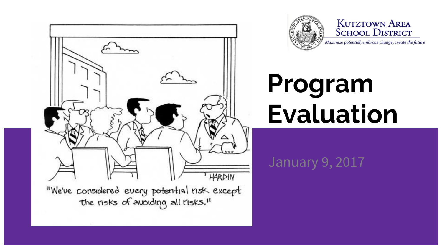



**KUTZTOWN AREA SCHOOL DISTRICT** 

Maximize potential, embrace change, create the future

# **Program Evaluation**

#### January 9, 2017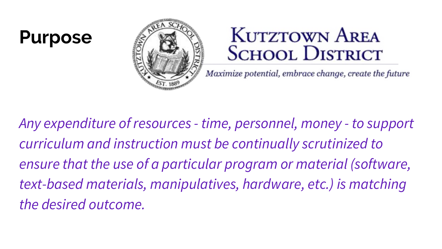#### **Purpose**



#### **KUTZTOWN AREA SCHOOL DISTRICT**

Maximize potential, embrace change, create the future

*Any expenditure of resources - time, personnel, money - to support curriculum and instruction must be continually scrutinized to ensure that the use of a particular program or material (software, text-based materials, manipulatives, hardware, etc.) is matching the desired outcome.*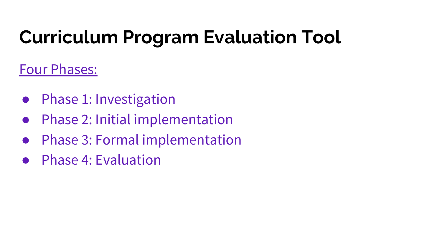# **Curriculum Program Evaluation Tool**

#### Four Phases:

- Phase 1: Investigation
- Phase 2: Initial implementation
- Phase 3: Formal implementation
- Phase 4: Evaluation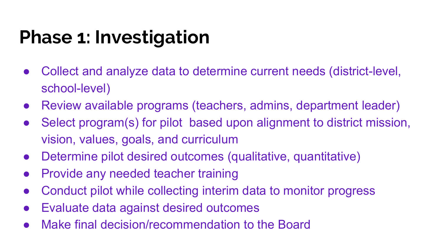## **Phase 1: Investigation**

- Collect and analyze data to determine current needs (district-level, school-level)
- Review available programs (teachers, admins, department leader)
- Select program(s) for pilot based upon alignment to district mission, vision, values, goals, and curriculum
- Determine pilot desired outcomes (qualitative, quantitative)
- Provide any needed teacher training
- Conduct pilot while collecting interim data to monitor progress
- Evaluate data against desired outcomes
- Make final decision/recommendation to the Board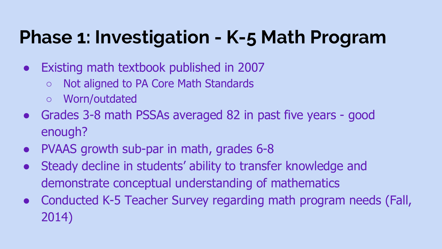#### **Phase 1: Investigation - K-5 Math Program**

- Existing math textbook published in 2007
	- Not aligned to PA Core Math Standards
	- Worn/outdated
- Grades 3-8 math PSSAs averaged 82 in past five years good enough?
- PVAAS growth sub-par in math, grades 6-8
- Steady decline in students' ability to transfer knowledge and demonstrate conceptual understanding of mathematics
- Conducted K-5 Teacher Survey regarding math program needs (Fall, 2014)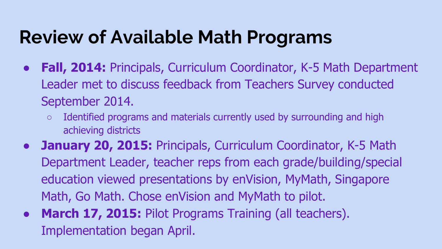## **Review of Available Math Programs**

- **Fall, 2014:** Principals, Curriculum Coordinator, K-5 Math Department Leader met to discuss feedback from Teachers Survey conducted September 2014.
	- Identified programs and materials currently used by surrounding and high achieving districts
- **January 20, 2015: Principals, Curriculum Coordinator, K-5 Math** Department Leader, teacher reps from each grade/building/special education viewed presentations by enVision, MyMath, Singapore Math, Go Math. Chose enVision and MyMath to pilot.
- **March 17, 2015:** Pilot Programs Training (all teachers). Implementation began April.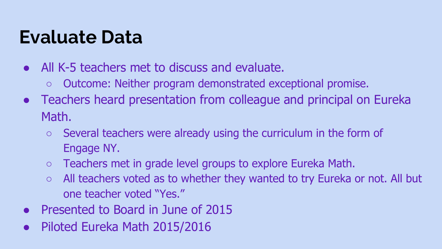#### **Evaluate Data**

- All K-5 teachers met to discuss and evaluate.
	- Outcome: Neither program demonstrated exceptional promise.
- Teachers heard presentation from colleague and principal on Eureka Math.
	- Several teachers were already using the curriculum in the form of Engage NY.
	- Teachers met in grade level groups to explore Eureka Math.
	- $\circ$  All teachers voted as to whether they wanted to try Eureka or not. All but one teacher voted "Yes."
- Presented to Board in June of 2015
- Piloted Eureka Math 2015/2016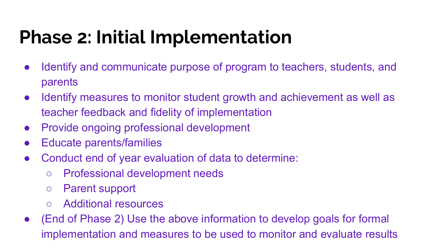## **Phase 2: Initial Implementation**

- Identify and communicate purpose of program to teachers, students, and parents
- Identify measures to monitor student growth and achievement as well as teacher feedback and fidelity of implementation
- Provide ongoing professional development
- Educate parents/families
- Conduct end of year evaluation of data to determine:
	- Professional development needs
	- Parent support
	- Additional resources
- (End of Phase 2) Use the above information to develop goals for formal implementation and measures to be used to monitor and evaluate results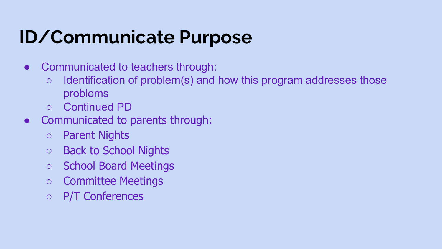# **ID/Communicate Purpose**

- Communicated to teachers through:
	- $\circ$  Identification of problem(s) and how this program addresses those problems
	- Continued PD
- Communicated to parents through:
	- Parent Nights
	- Back to School Nights
	- School Board Meetings
	- Committee Meetings
	- P/T Conferences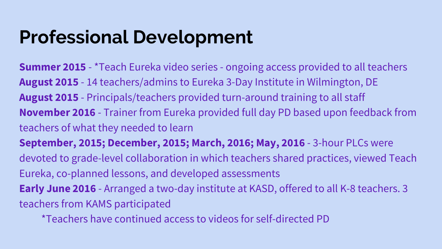#### **Professional Development**

**Summer 2015** - \*Teach Eureka video series - ongoing access provided to all teachers **August 2015** - 14 teachers/admins to Eureka 3-Day Institute in Wilmington, DE **August 2015** - Principals/teachers provided turn-around training to all staff **November 2016** - Trainer from Eureka provided full day PD based upon feedback from teachers of what they needed to learn **September, 2015; December, 2015; March, 2016; May, 2016** - 3-hour PLCs were devoted to grade-level collaboration in which teachers shared practices, viewed Teach Eureka, co-planned lessons, and developed assessments **Early June 2016** - Arranged a two-day institute at KASD, offered to all K-8 teachers. 3 teachers from KAMS participated

\*Teachers have continued access to videos for self-directed PD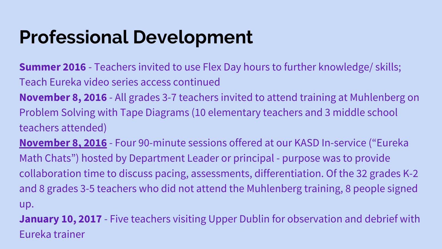#### **Professional Development**

**Summer 2016** - Teachers invited to use Flex Day hours to further knowledge/ skills; Teach Eureka video series access continued

**November 8, 2016** - All grades 3-7 teachers invited to attend training at Muhlenberg on Problem Solving with Tape Diagrams (10 elementary teachers and 3 middle school teachers attended)

**[November 8, 2016](https://docs.google.com/a/student.kasd.org/presentation/d/1p1yW4W0mPOZxeLfOsW9V7pVH-hSRHomth5HLUzsHiG4/edit?usp=sharing)** - Four 90-minute sessions offered at our KASD In-service ("Eureka Math Chats") hosted by Department Leader or principal - purpose was to provide collaboration time to discuss pacing, assessments, differentiation. Of the 32 grades K-2 and 8 grades 3-5 teachers who did not attend the Muhlenberg training, 8 people signed up.

**January 10, 2017** - Five teachers visiting Upper Dublin for observation and debrief with Eureka trainer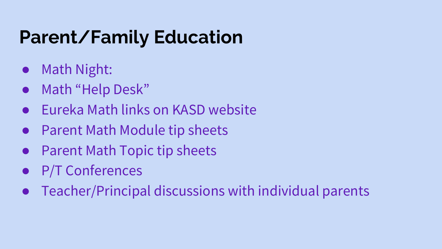# **Parent/Family Education**

- Math Night:
- Math "Help Desk"
- Eureka Math links on KASD website
- Parent Math Module tip sheets
- Parent Math Topic tip sheets
- **P/T Conferences**
- Teacher/Principal discussions with individual parents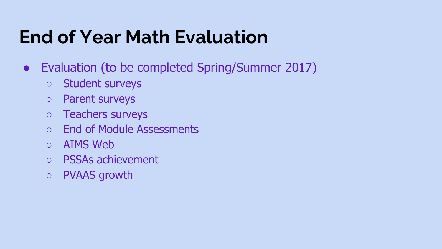#### **End of Year Math Evaluation**

- Evaluation (to be completed Spring/Summer 2017)
	- Student surveys
	- Parent surveys
	- Teachers surveys
	- End of Module Assessments
	- AIMS Web
	- PSSAs achievement
	- PVAAS growth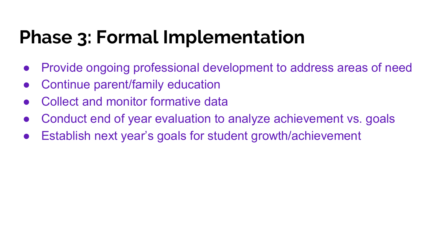## **Phase 3: Formal Implementation**

- Provide ongoing professional development to address areas of need
- Continue parent/family education
- Collect and monitor formative data
- Conduct end of year evaluation to analyze achievement vs. goals
- Establish next year's goals for student growth/achievement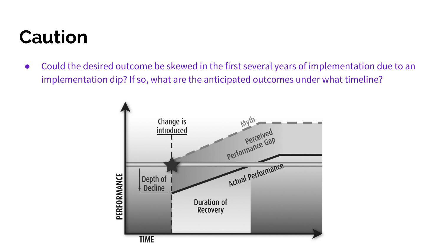# **Caution**

● Could the desired outcome be skewed in the first several years of implementation due to an implementation dip? If so, what are the anticipated outcomes under what timeline?

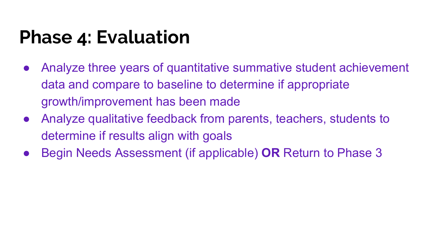#### **Phase 4: Evaluation**

- Analyze three years of quantitative summative student achievement data and compare to baseline to determine if appropriate growth/improvement has been made
- Analyze qualitative feedback from parents, teachers, students to determine if results align with goals
- Begin Needs Assessment (if applicable) **OR** Return to Phase 3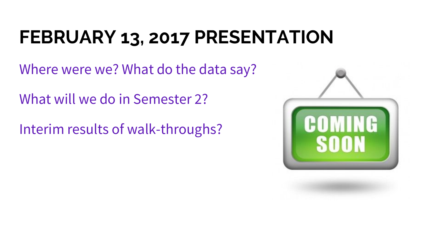# **FEBRUARY 13, 2017 PRESENTATION**

Where were we? What do the data say?

What will we do in Semester 2?

Interim results of walk-throughs?